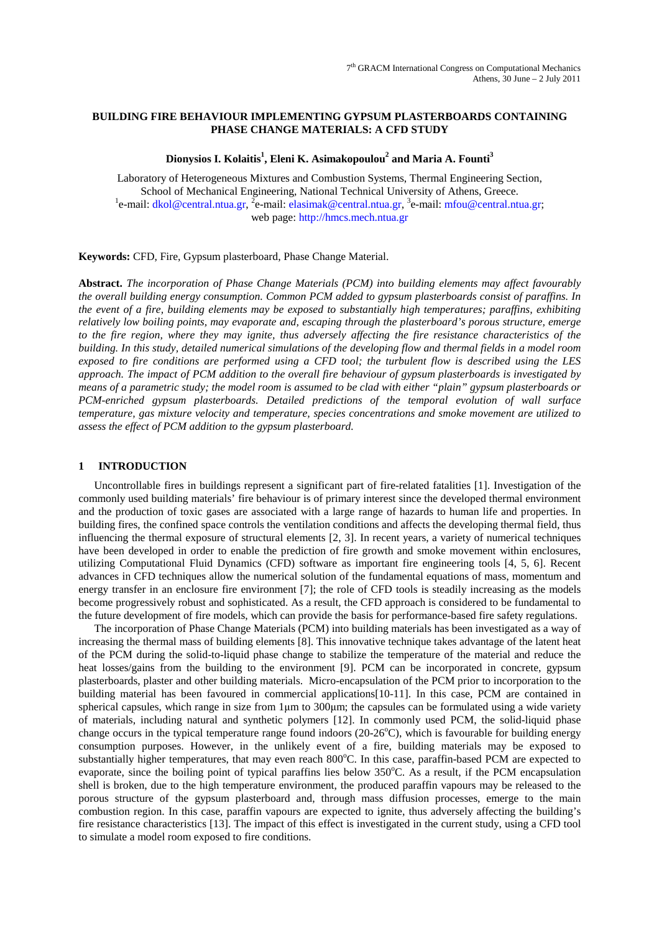# **BUILDING FIRE BEHAVIOUR IMPLEMENTING GYPSUM PLASTERBOARDS CONTAINING PHASE CHANGE MATERIALS: A CFD STUDY**

# **Dionysios I. Kolaitis<sup>1</sup> , Eleni K. Asimakopoulou<sup>2</sup> and Maria A. Founti<sup>3</sup>**

Laboratory of Heterogeneous Mixtures and Combustion Systems, Thermal Engineering Section, School of Mechanical Engineering, National Technical University of Athens, Greece. <sup>1</sup>e-mail: dkol@central.ntua.gr, <sup>2</sup>e-mail: elasimak@central.ntua.gr, <sup>3</sup>e-mail: mfou@central.ntua.gr; web page: http://hmcs.mech.ntua.gr

**Keywords:** CFD, Fire, Gypsum plasterboard, Phase Change Material.

**Abstract.** *The incorporation of Phase Change Materials (PCM) into building elements may affect favourably the overall building energy consumption. Common PCM added to gypsum plasterboards consist of paraffins. In the event of a fire, building elements may be exposed to substantially high temperatures; paraffins, exhibiting relatively low boiling points, may evaporate and, escaping through the plasterboard's porous structure, emerge to the fire region, where they may ignite, thus adversely affecting the fire resistance characteristics of the building. In this study, detailed numerical simulations of the developing flow and thermal fields in a model room exposed to fire conditions are performed using a CFD tool; the turbulent flow is described using the LES approach. The impact of PCM addition to the overall fire behaviour of gypsum plasterboards is investigated by means of a parametric study; the model room is assumed to be clad with either "plain" gypsum plasterboards or PCM-enriched gypsum plasterboards. Detailed predictions of the temporal evolution of wall surface temperature, gas mixture velocity and temperature, species concentrations and smoke movement are utilized to assess the effect of PCM addition to the gypsum plasterboard.* 

# **1 INTRODUCTION**

Uncontrollable fires in buildings represent a significant part of fire-related fatalities [1]. Investigation of the commonly used building materials' fire behaviour is of primary interest since the developed thermal environment and the production of toxic gases are associated with a large range of hazards to human life and properties. In building fires, the confined space controls the ventilation conditions and affects the developing thermal field, thus influencing the thermal exposure of structural elements [2, 3]. In recent years, a variety of numerical techniques have been developed in order to enable the prediction of fire growth and smoke movement within enclosures, utilizing Computational Fluid Dynamics (CFD) software as important fire engineering tools [4, 5, 6]. Recent advances in CFD techniques allow the numerical solution of the fundamental equations of mass, momentum and energy transfer in an enclosure fire environment [7]; the role of CFD tools is steadily increasing as the models become progressively robust and sophisticated. As a result, the CFD approach is considered to be fundamental to the future development of fire models, which can provide the basis for performance-based fire safety regulations.

The incorporation of Phase Change Materials (PCM) into building materials has been investigated as a way of increasing the thermal mass of building elements [8]. This innovative technique takes advantage of the latent heat of the PCM during the solid-to-liquid phase change to stabilize the temperature of the material and reduce the heat losses/gains from the building to the environment [9]. PCM can be incorporated in concrete, gypsum plasterboards, plaster and other building materials. Micro-encapsulation of the PCM prior to incorporation to the building material has been favoured in commercial applications[10-11]. In this case, PCM are contained in spherical capsules, which range in size from  $1\mu$ m to  $300\mu$ m; the capsules can be formulated using a wide variety of materials, including natural and synthetic polymers [12]. In commonly used PCM, the solid-liquid phase change occurs in the typical temperature range found indoors  $(20-26^{\circ}C)$ , which is favourable for building energy consumption purposes. However, in the unlikely event of a fire, building materials may be exposed to substantially higher temperatures, that may even reach 800°C. In this case, paraffin-based PCM are expected to evaporate, since the boiling point of typical paraffins lies below 350°C. As a result, if the PCM encapsulation shell is broken, due to the high temperature environment, the produced paraffin vapours may be released to the porous structure of the gypsum plasterboard and, through mass diffusion processes, emerge to the main combustion region. In this case, paraffin vapours are expected to ignite, thus adversely affecting the building's fire resistance characteristics [13]. The impact of this effect is investigated in the current study, using a CFD tool to simulate a model room exposed to fire conditions.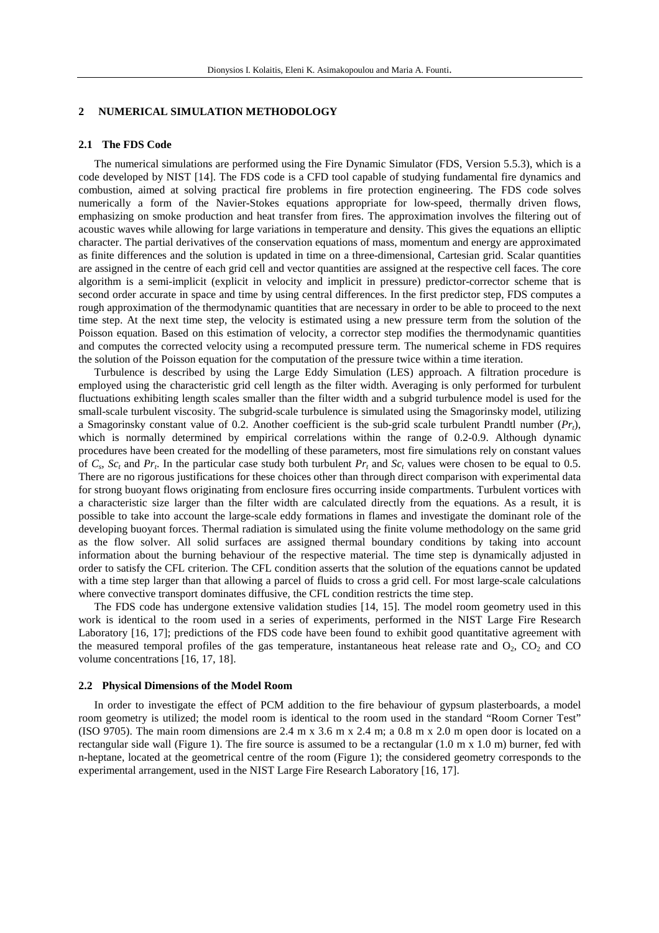## **2 NUMERICAL SIMULATION METHODOLOGY**

## **2.1 The FDS Code**

The numerical simulations are performed using the Fire Dynamic Simulator (FDS, Version 5.5.3), which is a code developed by NIST [14]. The FDS code is a CFD tool capable of studying fundamental fire dynamics and combustion, aimed at solving practical fire problems in fire protection engineering. The FDS code solves numerically a form of the Navier-Stokes equations appropriate for low-speed, thermally driven flows, emphasizing on smoke production and heat transfer from fires. The approximation involves the filtering out of acoustic waves while allowing for large variations in temperature and density. This gives the equations an elliptic character. The partial derivatives of the conservation equations of mass, momentum and energy are approximated as finite differences and the solution is updated in time on a three-dimensional, Cartesian grid. Scalar quantities are assigned in the centre of each grid cell and vector quantities are assigned at the respective cell faces. The core algorithm is a semi-implicit (explicit in velocity and implicit in pressure) predictor-corrector scheme that is second order accurate in space and time by using central differences. In the first predictor step, FDS computes a rough approximation of the thermodynamic quantities that are necessary in order to be able to proceed to the next time step. At the next time step, the velocity is estimated using a new pressure term from the solution of the Poisson equation. Based on this estimation of velocity, a corrector step modifies the thermodynamic quantities and computes the corrected velocity using a recomputed pressure term. The numerical scheme in FDS requires the solution of the Poisson equation for the computation of the pressure twice within a time iteration.

Turbulence is described by using the Large Eddy Simulation (LES) approach. A filtration procedure is employed using the characteristic grid cell length as the filter width. Averaging is only performed for turbulent fluctuations exhibiting length scales smaller than the filter width and a subgrid turbulence model is used for the small-scale turbulent viscosity. The subgrid-scale turbulence is simulated using the Smagorinsky model, utilizing a Smagorinsky constant value of 0.2. Another coefficient is the sub-grid scale turbulent Prandtl number (*Prt*), which is normally determined by empirical correlations within the range of 0.2-0.9. Although dynamic procedures have been created for the modelling of these parameters, most fire simulations rely on constant values of  $C_s$ ,  $Sc_t$  and  $Pr_t$ . In the particular case study both turbulent  $Pr_t$  and  $Sc_t$  values were chosen to be equal to 0.5. There are no rigorous justifications for these choices other than through direct comparison with experimental data for strong buoyant flows originating from enclosure fires occurring inside compartments. Turbulent vortices with a characteristic size larger than the filter width are calculated directly from the equations. As a result, it is possible to take into account the large-scale eddy formations in flames and investigate the dominant role of the developing buoyant forces. Thermal radiation is simulated using the finite volume methodology on the same grid as the flow solver. All solid surfaces are assigned thermal boundary conditions by taking into account information about the burning behaviour of the respective material. The time step is dynamically adjusted in order to satisfy the CFL criterion. The CFL condition asserts that the solution of the equations cannot be updated with a time step larger than that allowing a parcel of fluids to cross a grid cell. For most large-scale calculations where convective transport dominates diffusive, the CFL condition restricts the time step.

The FDS code has undergone extensive validation studies [14, 15]. The model room geometry used in this work is identical to the room used in a series of experiments, performed in the NIST Large Fire Research Laboratory [16, 17]; predictions of the FDS code have been found to exhibit good quantitative agreement with the measured temporal profiles of the gas temperature, instantaneous heat release rate and  $O_2$ ,  $CO_2$  and  $CO$ volume concentrations [16, 17, 18].

### **2.2 Physical Dimensions of the Model Room**

In order to investigate the effect of PCM addition to the fire behaviour of gypsum plasterboards, a model room geometry is utilized; the model room is identical to the room used in the standard "Room Corner Test" (ISO 9705). The main room dimensions are  $2.4 \text{ m} \times 3.6 \text{ m} \times 2.4 \text{ m}$ ; a 0.8 m  $\times 2.0 \text{ m}$  open door is located on a rectangular side wall (Figure 1). The fire source is assumed to be a rectangular  $(1.0 \text{ m x } 1.0 \text{ m})$  burner, fed with n-heptane, located at the geometrical centre of the room (Figure 1); the considered geometry corresponds to the experimental arrangement, used in the NIST Large Fire Research Laboratory [16, 17].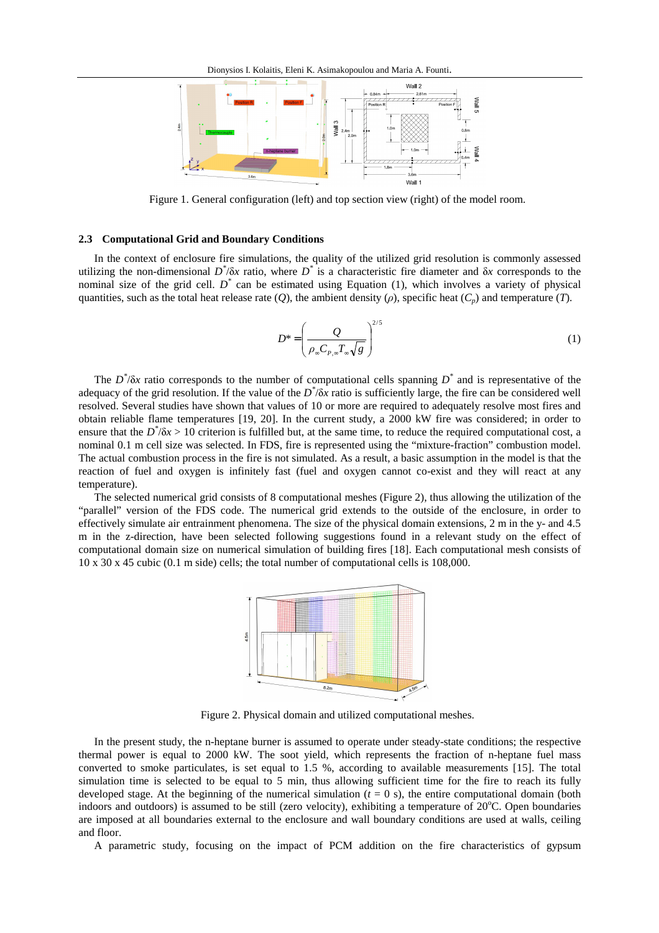

Figure 1. General configuration (left) and top section view (right) of the model room.

# **2.3 Computational Grid and Boundary Conditions**

In the context of enclosure fire simulations, the quality of the utilized grid resolution is commonly assessed utilizing the non-dimensional  $D^*\delta x$  ratio, where  $D^*$  is a characteristic fire diameter and  $\delta x$  corresponds to the nominal size of the grid cell. *D*<sup>\*</sup> can be estimated using Equation (1), which involves a variety of physical quantities, such as the total heat release rate (*O*), the ambient density ( $\rho$ ), specific heat (*C<sub><i>n*</sub>) and temperature (*T*).

$$
D^* = \left(\frac{Q}{\rho_\infty C_{P,\infty} T_\infty \sqrt{g}}\right)^{2/5} \tag{1}
$$

The  $D^*$ / $\delta x$  ratio corresponds to the number of computational cells spanning  $D^*$  and is representative of the adequacy of the grid resolution. If the value of the  $D^*$ / $\delta x$  ratio is sufficiently large, the fire can be considered well resolved. Several studies have shown that values of 10 or more are required to adequately resolve most fires and obtain reliable flame temperatures [19, 20]. In the current study, a 2000 kW fire was considered; in order to ensure that the  $D^*$ / $\delta x$  > 10 criterion is fulfilled but, at the same time, to reduce the required computational cost, a nominal 0.1 m cell size was selected. In FDS, fire is represented using the "mixture-fraction" combustion model. The actual combustion process in the fire is not simulated. As a result, a basic assumption in the model is that the reaction of fuel and oxygen is infinitely fast (fuel and oxygen cannot co-exist and they will react at any temperature).

The selected numerical grid consists of 8 computational meshes (Figure 2), thus allowing the utilization of the "parallel" version of the FDS code. The numerical grid extends to the outside of the enclosure, in order to effectively simulate air entrainment phenomena. The size of the physical domain extensions, 2 m in the y- and 4.5 m in the z-direction, have been selected following suggestions found in a relevant study on the effect of computational domain size on numerical simulation of building fires [18]. Each computational mesh consists of 10 x 30 x 45 cubic (0.1 m side) cells; the total number of computational cells is 108,000.



Figure 2. Physical domain and utilized computational meshes.

In the present study, the n-heptane burner is assumed to operate under steady-state conditions; the respective thermal power is equal to 2000 kW. The soot yield, which represents the fraction of n-heptane fuel mass converted to smoke particulates, is set equal to 1.5 %, according to available measurements [15]. The total simulation time is selected to be equal to 5 min, thus allowing sufficient time for the fire to reach its fully developed stage. At the beginning of the numerical simulation  $(t = 0 s)$ , the entire computational domain (both indoors and outdoors) is assumed to be still (zero velocity), exhibiting a temperature of  $20^{\circ}$ C. Open boundaries are imposed at all boundaries external to the enclosure and wall boundary conditions are used at walls, ceiling and floor.

A parametric study, focusing on the impact of PCM addition on the fire characteristics of gypsum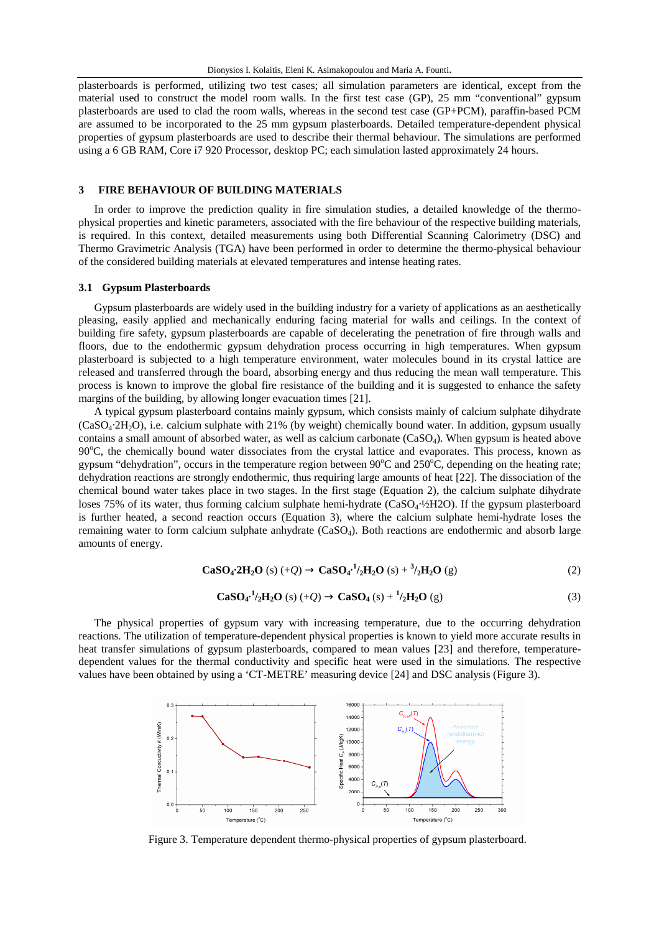plasterboards is performed, utilizing two test cases; all simulation parameters are identical, except from the material used to construct the model room walls. In the first test case (GP), 25 mm "conventional" gypsum plasterboards are used to clad the room walls, whereas in the second test case (GP+PCM), paraffin-based PCM are assumed to be incorporated to the 25 mm gypsum plasterboards. Detailed temperature-dependent physical properties of gypsum plasterboards are used to describe their thermal behaviour. The simulations are performed using a 6 GB RAM, Core i7 920 Processor, desktop PC; each simulation lasted approximately 24 hours.

# **3 FIRE BEHAVIOUR OF BUILDING MATERIALS**

In order to improve the prediction quality in fire simulation studies, a detailed knowledge of the thermophysical properties and kinetic parameters, associated with the fire behaviour of the respective building materials, is required. In this context, detailed measurements using both Differential Scanning Calorimetry (DSC) and Thermo Gravimetric Analysis (TGA) have been performed in order to determine the thermo-physical behaviour of the considered building materials at elevated temperatures and intense heating rates.

#### **3.1 Gypsum Plasterboards**

Gypsum plasterboards are widely used in the building industry for a variety of applications as an aesthetically pleasing, easily applied and mechanically enduring facing material for walls and ceilings. In the context of building fire safety, gypsum plasterboards are capable of decelerating the penetration of fire through walls and floors, due to the endothermic gypsum dehydration process occurring in high temperatures. When gypsum plasterboard is subjected to a high temperature environment, water molecules bound in its crystal lattice are released and transferred through the board, absorbing energy and thus reducing the mean wall temperature. This process is known to improve the global fire resistance of the building and it is suggested to enhance the safety margins of the building, by allowing longer evacuation times [21].

A typical gypsum plasterboard contains mainly gypsum, which consists mainly of calcium sulphate dihydrate (CaSO4⋅2H2O), i.e. calcium sulphate with 21% (by weight) chemically bound water. In addition, gypsum usually contains a small amount of absorbed water, as well as calcium carbonate (CaSO4). When gypsum is heated above 90°C, the chemically bound water dissociates from the crystal lattice and evaporates. This process, known as gypsum "dehydration", occurs in the temperature region between  $90^{\circ}$ C and  $250^{\circ}$ C, depending on the heating rate; dehydration reactions are strongly endothermic, thus requiring large amounts of heat [22]. The dissociation of the chemical bound water takes place in two stages. In the first stage (Equation 2), the calcium sulphate dihydrate loses 75% of its water, thus forming calcium sulphate hemi-hydrate (CaSO4⋅½H2O). If the gypsum plasterboard is further heated, a second reaction occurs (Equation 3), where the calcium sulphate hemi-hydrate loses the remaining water to form calcium sulphate anhydrate (CaSO4). Both reactions are endothermic and absorb large amounts of energy.

$$
CaSO_4:2H_2O(s) (+Q) \to CaSO_4^{-1}/_2H_2O(s) + \frac{3}{2}H_2O(s)
$$
 (2)

$$
CaSO_4^{-1}/_2H_2O(s) (+Q) \to CaSO_4(s) + \frac{1}{2}H_2O(s)
$$
 (3)

The physical properties of gypsum vary with increasing temperature, due to the occurring dehydration reactions. The utilization of temperature-dependent physical properties is known to yield more accurate results in heat transfer simulations of gypsum plasterboards, compared to mean values [23] and therefore, temperaturedependent values for the thermal conductivity and specific heat were used in the simulations. The respective values have been obtained by using a 'CT-METRE' measuring device [24] and DSC analysis (Figure 3).



Figure 3. Temperature dependent thermo-physical properties of gypsum plasterboard.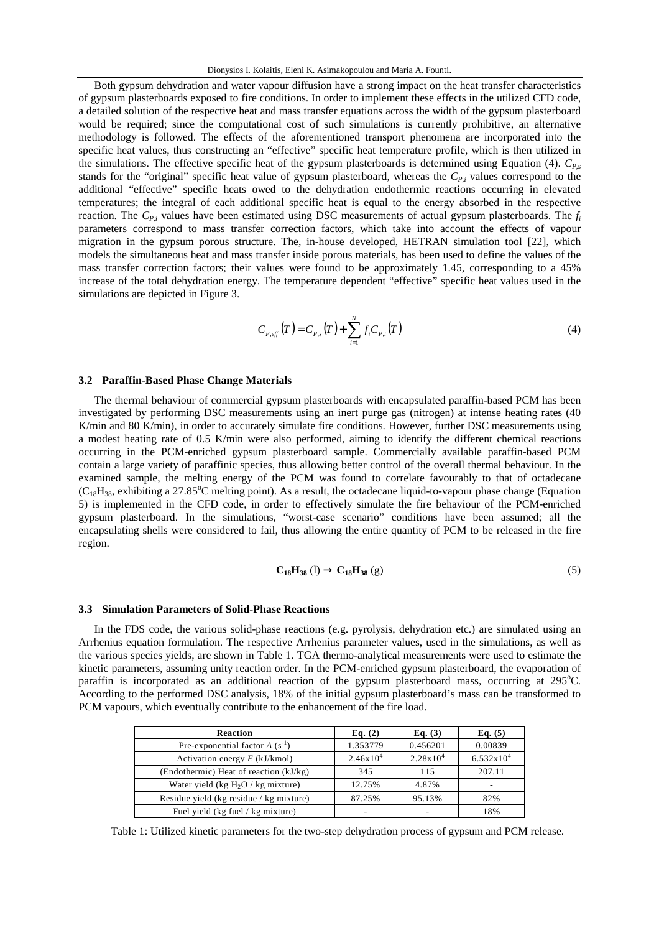Both gypsum dehydration and water vapour diffusion have a strong impact on the heat transfer characteristics of gypsum plasterboards exposed to fire conditions. In order to implement these effects in the utilized CFD code, a detailed solution of the respective heat and mass transfer equations across the width of the gypsum plasterboard would be required; since the computational cost of such simulations is currently prohibitive, an alternative methodology is followed. The effects of the aforementioned transport phenomena are incorporated into the specific heat values, thus constructing an "effective" specific heat temperature profile, which is then utilized in the simulations. The effective specific heat of the gypsum plasterboards is determined using Equation (4). *CP,s* stands for the "original" specific heat value of gypsum plasterboard, whereas the  $C_{P_i}$  values correspond to the additional "effective" specific heats owed to the dehydration endothermic reactions occurring in elevated temperatures; the integral of each additional specific heat is equal to the energy absorbed in the respective reaction. The *CP,i* values have been estimated using DSC measurements of actual gypsum plasterboards. The *f<sup>i</sup>* parameters correspond to mass transfer correction factors, which take into account the effects of vapour migration in the gypsum porous structure. The, in-house developed, HETRAN simulation tool [22], which models the simultaneous heat and mass transfer inside porous materials, has been used to define the values of the mass transfer correction factors; their values were found to be approximately 1.45, corresponding to a 45% increase of the total dehydration energy. The temperature dependent "effective" specific heat values used in the simulations are depicted in Figure 3.

$$
C_{P,eff}(T) = C_{P,s}(T) + \sum_{i=1}^{N} f_i C_{P,i}(T)
$$
\n(4)

### **3.2 Paraffin-Based Phase Change Materials**

The thermal behaviour of commercial gypsum plasterboards with encapsulated paraffin-based PCM has been investigated by performing DSC measurements using an inert purge gas (nitrogen) at intense heating rates (40 K/min and 80 K/min), in order to accurately simulate fire conditions. However, further DSC measurements using a modest heating rate of 0.5 K/min were also performed, aiming to identify the different chemical reactions occurring in the PCM-enriched gypsum plasterboard sample. Commercially available paraffin-based PCM contain a large variety of paraffinic species, thus allowing better control of the overall thermal behaviour. In the examined sample, the melting energy of the PCM was found to correlate favourably to that of octadecane  $(C_{18}H_{38}$ , exhibiting a 27.85<sup>o</sup>C melting point). As a result, the octadecane liquid-to-vapour phase change (Equation 5) is implemented in the CFD code, in order to effectively simulate the fire behaviour of the PCM-enriched gypsum plasterboard. In the simulations, "worst-case scenario" conditions have been assumed; all the encapsulating shells were considered to fail, thus allowing the entire quantity of PCM to be released in the fire region.

$$
C_{18}H_{38} (l) \rightarrow C_{18}H_{38} (g) \tag{5}
$$

### **3.3 Simulation Parameters of Solid-Phase Reactions**

In the FDS code, the various solid-phase reactions (e.g. pyrolysis, dehydration etc.) are simulated using an Arrhenius equation formulation. The respective Arrhenius parameter values, used in the simulations, as well as the various species yields, are shown in Table 1. TGA thermo-analytical measurements were used to estimate the kinetic parameters, assuming unity reaction order. In the PCM-enriched gypsum plasterboard, the evaporation of paraffin is incorporated as an additional reaction of the gypsum plasterboard mass, occurring at 295°C. According to the performed DSC analysis, 18% of the initial gypsum plasterboard's mass can be transformed to PCM vapours, which eventually contribute to the enhancement of the fire load.

| Reaction                                | Eq. $(2)$     | Eq. $(3)$            | Eq. $(5)$                |
|-----------------------------------------|---------------|----------------------|--------------------------|
| Pre-exponential factor $A(s^{-1})$      | 1.353779      | 0.456201             | 0.00839                  |
| Activation energy $E$ (kJ/kmol)         | $2.46x10^{4}$ | $2.28 \times 10^{4}$ | $6.532x10^{4}$           |
| (Endothermic) Heat of reaction (kJ/kg)  | 345           | 115                  | 207.11                   |
| Water yield (kg $H_2O$ / kg mixture)    | 12.75%        | 4.87%                | $\overline{\phantom{a}}$ |
| Residue yield (kg residue / kg mixture) | 87.25%        | 95.13%               | 82%                      |
| Fuel yield (kg fuel / kg mixture)       |               |                      | 18%                      |

Table 1: Utilized kinetic parameters for the two-step dehydration process of gypsum and PCM release.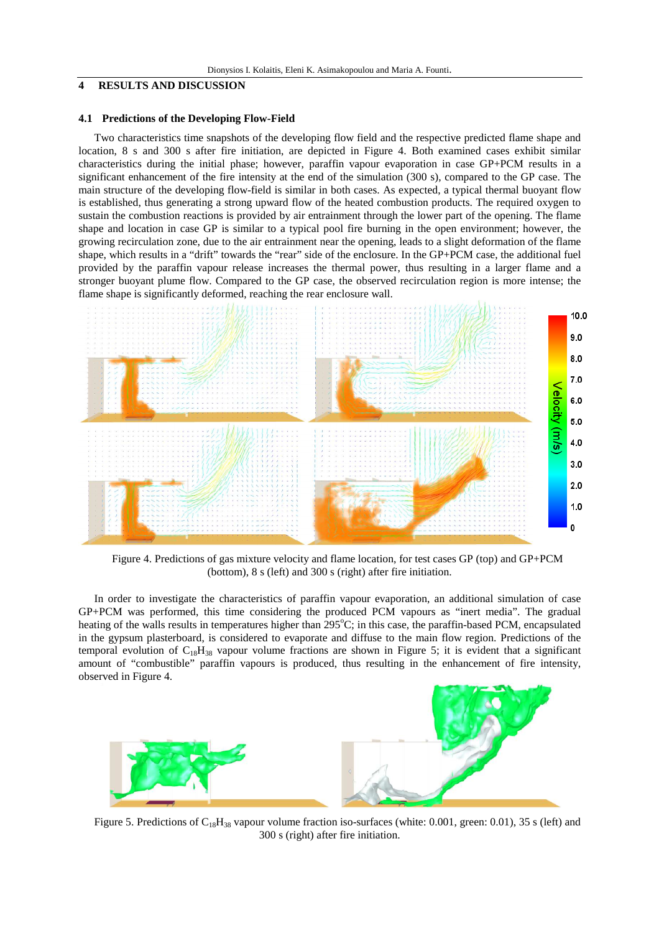# **4 RESULTS AND DISCUSSION**

# **4.1 Predictions of the Developing Flow-Field**

Two characteristics time snapshots of the developing flow field and the respective predicted flame shape and location, 8 s and 300 s after fire initiation, are depicted in Figure 4. Both examined cases exhibit similar characteristics during the initial phase; however, paraffin vapour evaporation in case GP+PCM results in a significant enhancement of the fire intensity at the end of the simulation (300 s), compared to the GP case. The main structure of the developing flow-field is similar in both cases. As expected, a typical thermal buoyant flow is established, thus generating a strong upward flow of the heated combustion products. The required oxygen to sustain the combustion reactions is provided by air entrainment through the lower part of the opening. The flame shape and location in case GP is similar to a typical pool fire burning in the open environment; however, the growing recirculation zone, due to the air entrainment near the opening, leads to a slight deformation of the flame shape, which results in a "drift" towards the "rear" side of the enclosure. In the GP+PCM case, the additional fuel provided by the paraffin vapour release increases the thermal power, thus resulting in a larger flame and a stronger buoyant plume flow. Compared to the GP case, the observed recirculation region is more intense; the flame shape is significantly deformed, reaching the rear enclosure wall.



Figure 4. Predictions of gas mixture velocity and flame location, for test cases GP (top) and GP+PCM (bottom), 8 s (left) and 300 s (right) after fire initiation.

In order to investigate the characteristics of paraffin vapour evaporation, an additional simulation of case GP+PCM was performed, this time considering the produced PCM vapours as "inert media". The gradual heating of the walls results in temperatures higher than 295°C; in this case, the paraffin-based PCM, encapsulated in the gypsum plasterboard, is considered to evaporate and diffuse to the main flow region. Predictions of the temporal evolution of  $C_{18}H_{38}$  vapour volume fractions are shown in Figure 5; it is evident that a significant amount of "combustible" paraffin vapours is produced, thus resulting in the enhancement of fire intensity, observed in Figure 4.



Figure 5. Predictions of  $C_{18}H_{38}$  vapour volume fraction iso-surfaces (white: 0.001, green: 0.01), 35 s (left) and 300 s (right) after fire initiation.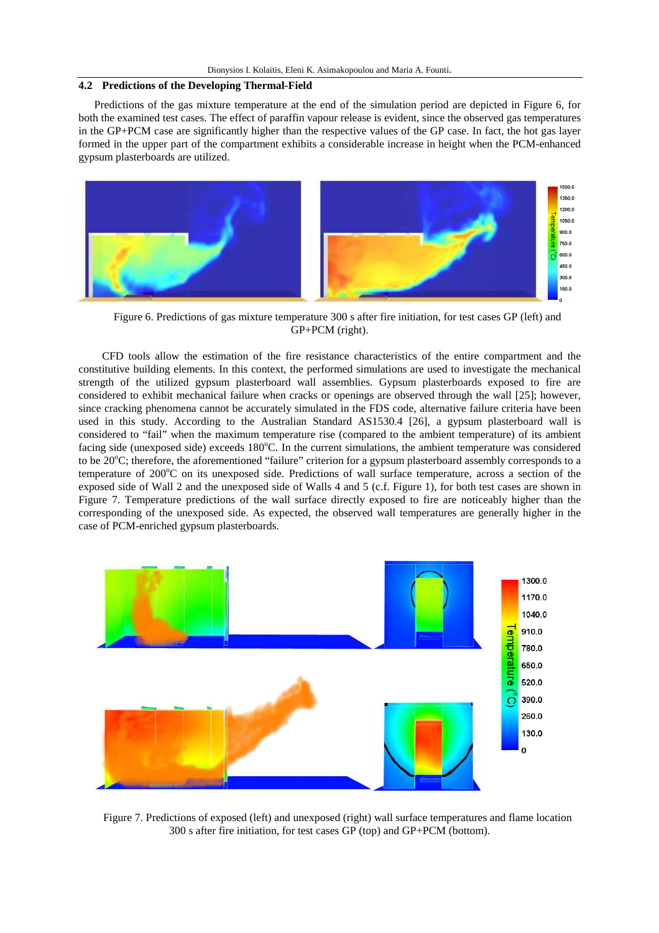# **4.2 Predictions of the Developing Thermal-Field**

Predictions of the gas mixture temperature at the end of the simulation period are depicted in Figure 6, for both the examined test cases. The effect of paraffin vapour release is evident, since the observed gas temperatures in the GP+PCM case are significantly higher than the respective values of the GP case. In fact, the hot gas layer formed in the upper part of the compartment exhibits a considerable increase in height when the PCM-enhanced gypsum plasterboards are utilized.



Figure 6. Predictions of gas mixture temperature 300 s after fire initiation, for test cases GP (left) and GP+PCM (right).

CFD tools allow the estimation of the fire resistance characteristics of the entire compartment and the constitutive building elements. In this context, the performed simulations are used to investigate the mechanical strength of the utilized gypsum plasterboard wall assemblies. Gypsum plasterboards exposed to fire are considered to exhibit mechanical failure when cracks or openings are observed through the wall [25]; however, since cracking phenomena cannot be accurately simulated in the FDS code, alternative failure criteria have been used in this study. According to the Australian Standard AS1530.4 [26], a gypsum plasterboard wall is considered to "fail" when the maximum temperature rise (compared to the ambient temperature) of its ambient facing side (unexposed side) exceeds  $180^{\circ}$ C. In the current simulations, the ambient temperature was considered to be 20<sup>o</sup>C; therefore, the aforementioned "failure" criterion for a gypsum plasterboard assembly corresponds to a temperature of 200°C on its unexposed side. Predictions of wall surface temperature, across a section of the exposed side of Wall 2 and the unexposed side of Walls 4 and 5 (c.f. Figure 1), for both test cases are shown in Figure 7. Temperature predictions of the wall surface directly exposed to fire are noticeably higher than the corresponding of the unexposed side. As expected, the observed wall temperatures are generally higher in the case of PCM-enriched gypsum plasterboards.



Figure 7. Predictions of exposed (left) and unexposed (right) wall surface temperatures and flame location 300 s after fire initiation, for test cases GP (top) and GP+PCM (bottom).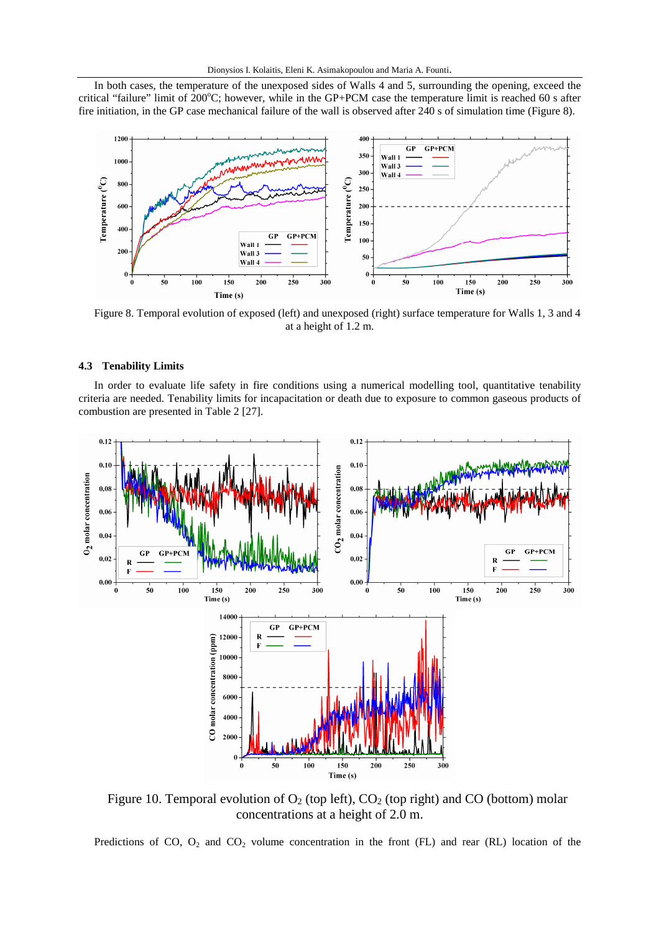In both cases, the temperature of the unexposed sides of Walls 4 and 5, surrounding the opening, exceed the critical "failure" limit of  $200^{\circ}$ C; however, while in the GP+PCM case the temperature limit is reached 60 s after fire initiation, in the GP case mechanical failure of the wall is observed after 240 s of simulation time (Figure 8).



Figure 8. Temporal evolution of exposed (left) and unexposed (right) surface temperature for Walls 1, 3 and 4 at a height of 1.2 m.

## **4.3 Tenability Limits**

In order to evaluate life safety in fire conditions using a numerical modelling tool, quantitative tenability criteria are needed. Tenability limits for incapacitation or death due to exposure to common gaseous products of combustion are presented in Table 2 [27].



Figure 10. Temporal evolution of  $O_2$  (top left),  $CO_2$  (top right) and CO (bottom) molar concentrations at a height of 2.0 m.

Predictions of CO,  $O_2$  and CO<sub>2</sub> volume concentration in the front (FL) and rear (RL) location of the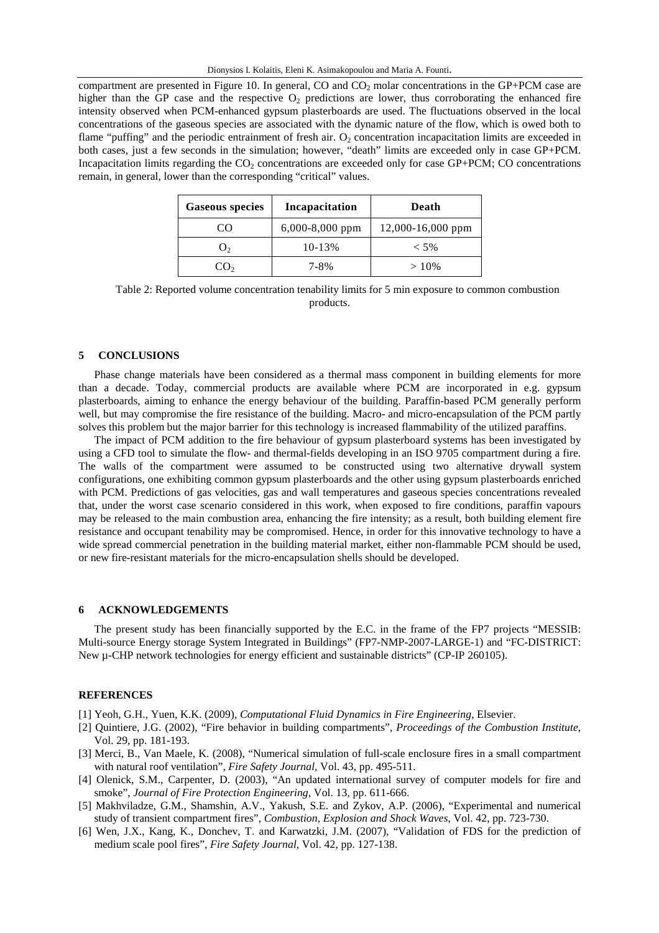compartment are presented in Figure 10. In general, CO and  $CO<sub>2</sub>$  molar concentrations in the GP+PCM case are higher than the GP case and the respective  $O_2$  predictions are lower, thus corroborating the enhanced fire intensity observed when PCM-enhanced gypsum plasterboards are used. The fluctuations observed in the local concentrations of the gaseous species are associated with the dynamic nature of the flow, which is owed both to flame "puffing" and the periodic entrainment of fresh air.  $O<sub>2</sub>$  concentration incapacitation limits are exceeded in both cases, just a few seconds in the simulation; however, "death" limits are exceeded only in case GP+PCM. Incapacitation limits regarding the  $CO<sub>2</sub>$  concentrations are exceeded only for case GP+PCM; CO concentrations remain, in general, lower than the corresponding "critical" values.

| <b>Gaseous species</b> | Incapacitation    | Death                 |
|------------------------|-------------------|-----------------------|
| CO                     | $6,000-8,000$ ppm | $12,000 - 16,000$ ppm |
| $J_{2}$                | 10-13%            | $<$ 5%                |
| CO2                    | 7-8%              | $>10\%$               |

Table 2: Reported volume concentration tenability limits for 5 min exposure to common combustion products.

#### **5 CONCLUSIONS**

Phase change materials have been considered as a thermal mass component in building elements for more than a decade. Today, commercial products are available where PCM are incorporated in e.g. gypsum plasterboards, aiming to enhance the energy behaviour of the building. Paraffin-based PCM generally perform well, but may compromise the fire resistance of the building. Macro- and micro-encapsulation of the PCM partly solves this problem but the major barrier for this technology is increased flammability of the utilized paraffins.

The impact of PCM addition to the fire behaviour of gypsum plasterboard systems has been investigated by using a CFD tool to simulate the flow- and thermal-fields developing in an ISO 9705 compartment during a fire. The walls of the compartment were assumed to be constructed using two alternative drywall system configurations, one exhibiting common gypsum plasterboards and the other using gypsum plasterboards enriched with PCM. Predictions of gas velocities, gas and wall temperatures and gaseous species concentrations revealed that, under the worst case scenario considered in this work, when exposed to fire conditions, paraffin vapours may be released to the main combustion area, enhancing the fire intensity; as a result, both building element fire resistance and occupant tenability may be compromised. Hence, in order for this innovative technology to have a wide spread commercial penetration in the building material market, either non-flammable PCM should be used, or new fire-resistant materials for the micro-encapsulation shells should be developed.

#### **6 ACKNOWLEDGEMENTS**

The present study has been financially supported by the E.C. in the frame of the FP7 projects "MESSIB: Multi-source Energy storage System Integrated in Buildings" (FP7-NMP-2007-LARGE-1) and "FC-DISTRICT: New  $\mu$ -CHP network technologies for energy efficient and sustainable districts" (CP-IP 260105).

### **REFERENCES**

- [1] Yeoh, G.H., Yuen, K.K. (2009), *Computational Fluid Dynamics in Fire Engineering*, Elsevier.
- [2] Quintiere, J.G. (2002), "Fire behavior in building compartments", *Proceedings of the Combustion Institute*, Vol. 29, pp. 181-193.
- [3] Merci, B., Van Maele, K. (2008), "Numerical simulation of full-scale enclosure fires in a small compartment with natural roof ventilation", *Fire Safety Journal*, Vol. 43, pp. 495-511.
- [4] Olenick, S.M., Carpenter, D. (2003), "An updated international survey of computer models for fire and smoke", *Journal of Fire Protection Engineering*, Vol. 13, pp. 611-666.
- [5] Makhviladze, G.M., Shamshin, A.V., Yakush, S.E. and Zykov, A.P. (2006), "Experimental and numerical study of transient compartment fires", *Combustion, Explosion and Shock Waves*, Vol. 42, pp. 723-730.
- [6] Wen, J.X., Kang, K., Donchev, T. and Karwatzki, J.M. (2007), "Validation of FDS for the prediction of medium scale pool fires", *Fire Safety Journal*, Vol. 42, pp. 127-138.